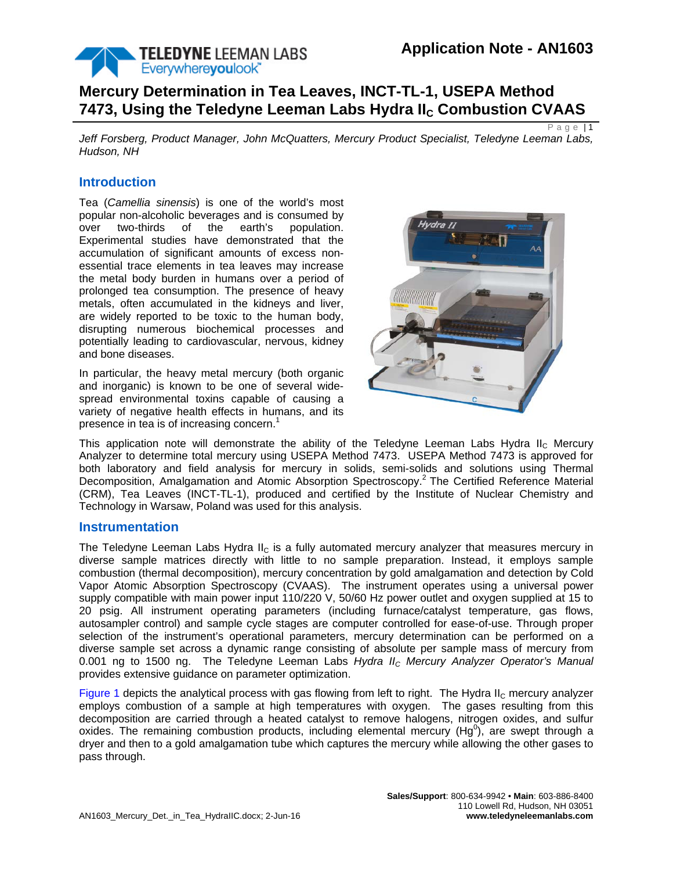

Page  $\overline{11}$ 

# **Mercury Determination in Tea Leaves, INCT-TL-1, USEPA Method 7473, Using the Teledyne Leeman Labs Hydra II<sub>C</sub> Combustion CVAAS**

*Jeff Forsberg, Product Manager, John McQuatters, Mercury Product Specialist, Teledyne Leeman Labs, Hudson, NH*

## **Introduction**

Tea (*Camellia sinensis*) is one of the world's most popular non-alcoholic beverages and is consumed by over two-thirds of the earth's population. Experimental studies have demonstrated that the accumulation of significant amounts of excess nonessential trace elements in tea leaves may increase the metal body burden in humans over a period of prolonged tea consumption. The presence of heavy metals, often accumulated in the kidneys and liver, are widely reported to be toxic to the human body, disrupting numerous biochemical processes and potentially leading to cardiovascular, nervous, kidney and bone diseases.

In particular, the heavy metal mercury (both organic and inorganic) is known to be one of several widespread environmental toxins capable of causing a variety of negative health effects in humans, and its presence in tea is of increasing concern.<sup>1</sup>



This application note will demonstrate the ability of the Teledyne Leeman Labs Hydra II<sub>C</sub> Mercury Analyzer to determine total mercury using USEPA Method 7473. USEPA Method 7473 is approved for both laboratory and field analysis for mercury in solids, semi-solids and solutions using Thermal Decomposition, Amalgamation and Atomic Absorption Spectroscopy.<sup>2</sup> The Certified Reference Material (CRM), Tea Leaves (INCT-TL-1), produced and certified by the Institute of Nuclear Chemistry and Technology in Warsaw, Poland was used for this analysis.

#### **Instrumentation**

The Teledyne Leeman Labs Hydra II<sub>C</sub> is a fully automated mercury analyzer that measures mercury in diverse sample matrices directly with little to no sample preparation. Instead, it employs sample combustion (thermal decomposition), mercury concentration by gold amalgamation and detection by Cold Vapor Atomic Absorption Spectroscopy (CVAAS). The instrument operates using a universal power supply compatible with main power input 110/220 V, 50/60 Hz power outlet and oxygen supplied at 15 to 20 psig. All instrument operating parameters (including furnace/catalyst temperature, gas flows, autosampler control) and sample cycle stages are computer controlled for ease-of-use. Through proper selection of the instrument's operational parameters, mercury determination can be performed on a diverse sample set across a dynamic range consisting of absolute per sample mass of mercury from 0.001 ng to 1500 ng. The Teledyne Leeman Labs *Hydra IIC Mercury Analyzer Operator's Manual* provides extensive guidance on parameter optimization.

[Figure 1](#page-1-0) depicts the analytical process with gas flowing from left to right. The Hydra  $II_C$  mercury analyzer employs combustion of a sample at high temperatures with oxygen. The gases resulting from this decomposition are carried through a heated catalyst to remove halogens, nitrogen oxides, and sulfur oxides. The remaining combustion products, including elemental mercury (Hg<sup>0</sup>), are swept through a dryer and then to a gold amalgamation tube which captures the mercury while allowing the other gases to pass through.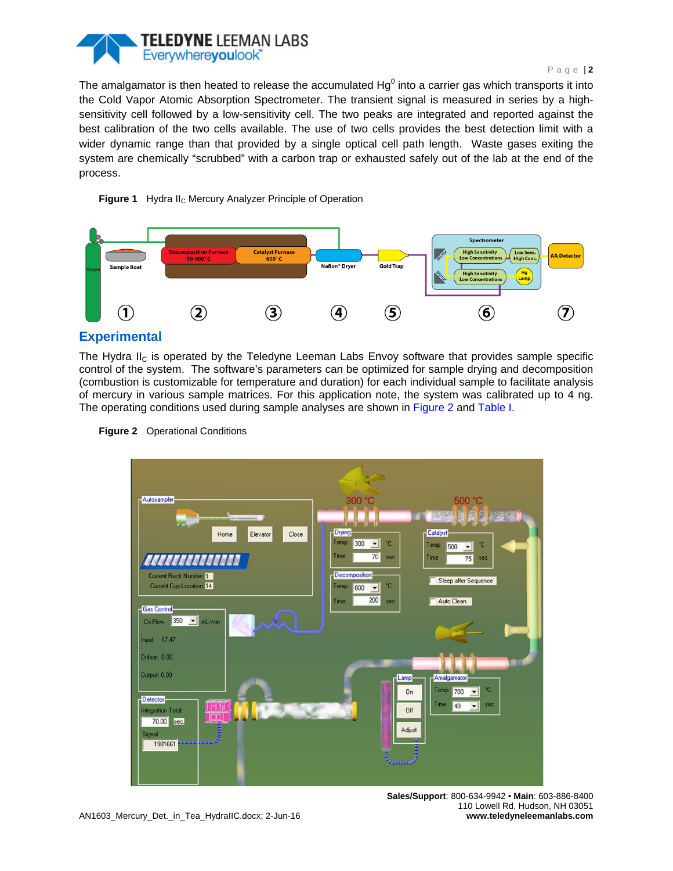

#### Page | **2**

The amalgamator is then heated to release the accumulated  $Hg^0$  into a carrier gas which transports it into the Cold Vapor Atomic Absorption Spectrometer. The transient signal is measured in series by a highsensitivity cell followed by a low-sensitivity cell. The two peaks are integrated and reported against the best calibration of the two cells available. The use of two cells provides the best detection limit with a wider dynamic range than that provided by a single optical cell path length. Waste gases exiting the system are chemically "scrubbed" with a carbon trap or exhausted safely out of the lab at the end of the process.

<span id="page-1-0"></span>



# **Experimental**

The Hydra  $II_C$  is operated by the Teledyne Leeman Labs Envoy software that provides sample specific control of the system. The software's parameters can be optimized for sample drying and decomposition (combustion is customizable for temperature and duration) for each individual sample to facilitate analysis of mercury in various sample matrices. For this application note, the system was calibrated up to 4 ng. The operating conditions used during sample analyses are shown in [Figure 2](#page-1-1) and [Table I.](#page-2-0)



<span id="page-1-1"></span>**Figure 2** Operational Conditions

**Sales/Support**: 800-634-9942 • **Main**: 603-886-8400 110 Lowell Rd, Hudson, NH 03051 **www.teledyneleemanlabs.com**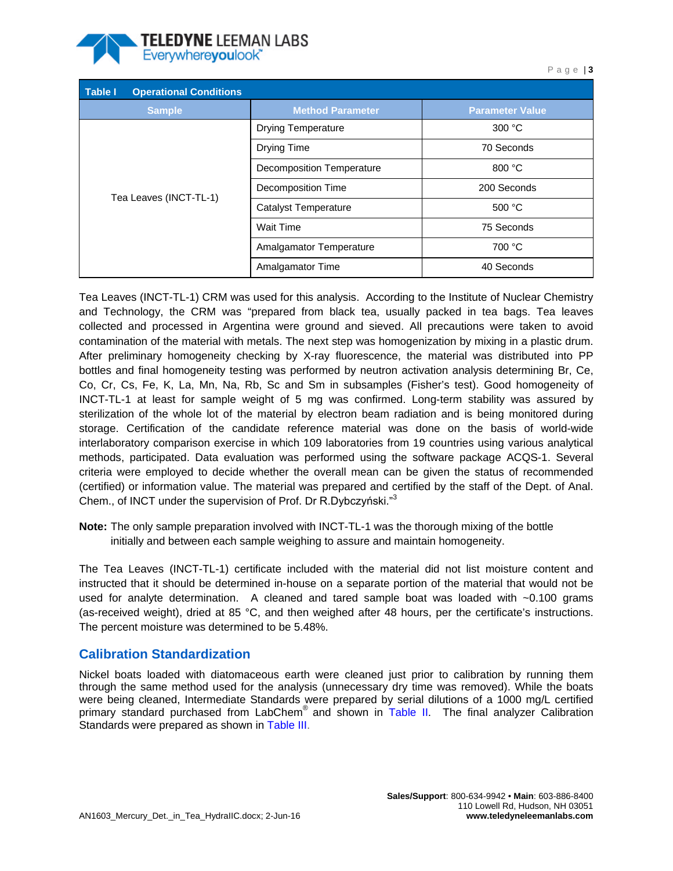

<span id="page-2-0"></span>

| Table I<br><b>Operational Conditions</b> |                                  |                        |
|------------------------------------------|----------------------------------|------------------------|
| <b>Sample</b>                            | <b>Method Parameter</b>          | <b>Parameter Value</b> |
| Tea Leaves (INCT-TL-1)                   | <b>Drying Temperature</b>        | 300 °C                 |
|                                          | <b>Drying Time</b>               | 70 Seconds             |
|                                          | <b>Decomposition Temperature</b> | 800 °C                 |
|                                          | Decomposition Time               | 200 Seconds            |
|                                          | Catalyst Temperature             | 500 °C                 |
|                                          | Wait Time                        | 75 Seconds             |
|                                          | Amalgamator Temperature          | 700 °C                 |
|                                          | Amalgamator Time                 | 40 Seconds             |

Tea Leaves (INCT-TL-1) CRM was used for this analysis. According to the Institute of Nuclear Chemistry and Technology, the CRM was "prepared from black tea, usually packed in tea bags. Tea leaves collected and processed in Argentina were ground and sieved. All precautions were taken to avoid contamination of the material with metals. The next step was homogenization by mixing in a plastic drum. After preliminary homogeneity checking by X-ray fluorescence, the material was distributed into PP bottles and final homogeneity testing was performed by neutron activation analysis determining Br, Ce, Co, Cr, Cs, Fe, K, La, Mn, Na, Rb, Sc and Sm in subsamples (Fisher's test). Good homogeneity of INCT-TL-1 at least for sample weight of 5 mg was confirmed. Long-term stability was assured by sterilization of the whole lot of the material by electron beam radiation and is being monitored during storage. Certification of the candidate reference material was done on the basis of world-wide interlaboratory comparison exercise in which 109 laboratories from 19 countries using various analytical methods, participated. Data evaluation was performed using the software package ACQS-1. Several criteria were employed to decide whether the overall mean can be given the status of recommended (certified) or information value. The material was prepared and certified by the staff of the Dept. of Anal. Chem., of INCT under the supervision of Prof. Dr R.Dybczyński."3

**Note:** The only sample preparation involved with INCT-TL-1 was the thorough mixing of the bottle initially and between each sample weighing to assure and maintain homogeneity.

The Tea Leaves (INCT-TL-1) certificate included with the material did not list moisture content and instructed that it should be determined in-house on a separate portion of the material that would not be used for analyte determination. A cleaned and tared sample boat was loaded with  $\sim$ 0.100 grams (as-received weight), dried at 85 °C, and then weighed after 48 hours, per the certificate's instructions. The percent moisture was determined to be 5.48%.

# **Calibration Standardization**

Nickel boats loaded with diatomaceous earth were cleaned just prior to calibration by running them through the same method used for the analysis (unnecessary dry time was removed). While the boats were being cleaned, Intermediate Standards were prepared by serial dilutions of a 1000 mg/L certified primary standard purchased from LabChem<sup>®</sup> and shown in [Table II.](#page-3-0) The final analyzer Calibration Standards were prepared as shown in [Table III.](#page-3-1)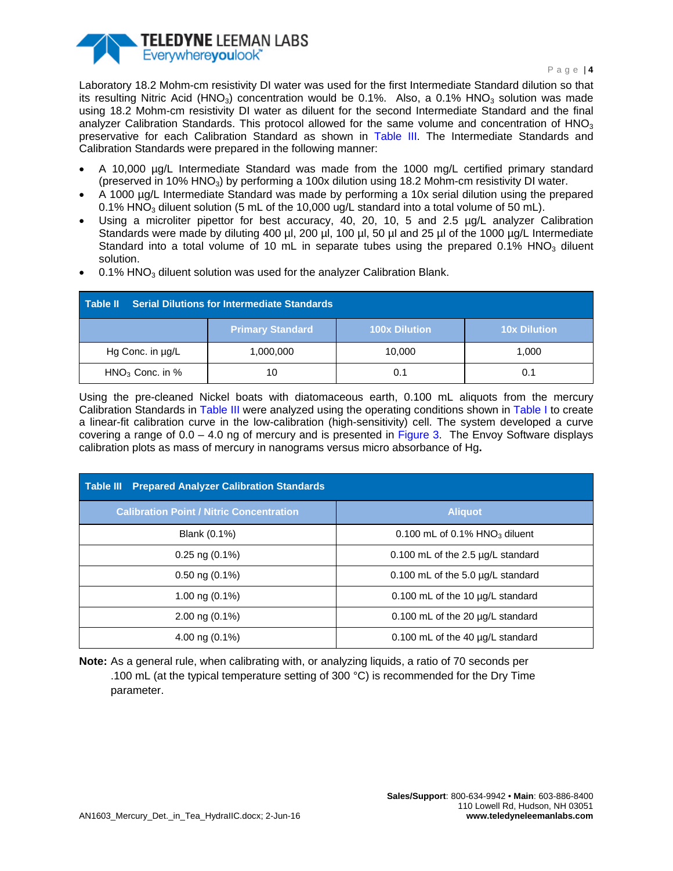

Laboratory 18.2 Mohm-cm resistivity DI water was used for the first Intermediate Standard dilution so that its resulting Nitric Acid (HNO<sub>3</sub>) concentration would be 0.1%. Also, a 0.1% HNO<sub>3</sub> solution was made using 18.2 Mohm-cm resistivity DI water as diluent for the second Intermediate Standard and the final analyzer Calibration Standards. This protocol allowed for the same volume and concentration of  $HNO<sub>3</sub>$ preservative for each Calibration Standard as shown in [Table III.](#page-3-1) The Intermediate Standards and Calibration Standards were prepared in the following manner:

- A 10,000 µg/L Intermediate Standard was made from the 1000 mg/L certified primary standard (preserved in 10% HNO<sub>3</sub>) by performing a 100x dilution using 18.2 Mohm-cm resistivity DI water.
- A 1000 µg/L Intermediate Standard was made by performing a 10x serial dilution using the prepared 0.1% HNO<sub>3</sub> diluent solution (5 mL of the 10,000 ug/L standard into a total volume of 50 mL).
- Using a microliter pipettor for best accuracy, 40, 20, 10, 5 and 2.5 µg/L analyzer Calibration Standards were made by diluting 400 µl, 200 µl, 100 µl, 50 µl and 25 µl of the 1000 µg/L Intermediate Standard into a total volume of 10 mL in separate tubes using the prepared 0.1% HNO<sub>3</sub> diluent solution.
- $0.1\%$  HNO<sub>3</sub> diluent solution was used for the analyzer Calibration Blank.

<span id="page-3-0"></span>

| Serial Dilutions for Intermediate Standards<br>Table II |                         |               |                     |  |
|---------------------------------------------------------|-------------------------|---------------|---------------------|--|
|                                                         | <b>Primary Standard</b> | 100x Dilution | <b>10x Dilution</b> |  |
| Hg Conc. in µg/L                                        | 1,000,000               | 10.000        | 1.000               |  |
| $HNO3$ Conc. in %                                       | 10                      | 0.1           | 0.1                 |  |

Using the pre-cleaned Nickel boats with diatomaceous earth, 0.100 mL aliquots from the mercury Calibration Standards in [Table III](#page-3-1) were analyzed using the operating conditions shown in [Table I](#page-2-0) to create a linear-fit calibration curve in the low-calibration (high-sensitivity) cell. The system developed a curve covering a range of  $0.0 - 4.0$  ng of mercury and is presented in [Figure 3.](#page-4-0) The Envoy Software displays calibration plots as mass of mercury in nanograms versus micro absorbance of Hg**.**

<span id="page-3-1"></span>

| <b>Prepared Analyzer Calibration Standards</b><br><b>Table III</b> |                                              |  |  |
|--------------------------------------------------------------------|----------------------------------------------|--|--|
| <b>Calibration Point / Nitric Concentration</b>                    | <b>Aliquot</b>                               |  |  |
| Blank (0.1%)                                                       | 0.100 mL of $0.1\%$ HNO <sub>3</sub> diluent |  |  |
| $0.25$ ng $(0.1\%)$                                                | 0.100 mL of the 2.5 µg/L standard            |  |  |
| $0.50$ ng $(0.1\%)$                                                | 0.100 mL of the 5.0 µg/L standard            |  |  |
| 1.00 ng $(0.1\%)$                                                  | 0.100 mL of the 10 µg/L standard             |  |  |
| 2.00 ng $(0.1\%)$                                                  | 0.100 mL of the 20 µg/L standard             |  |  |
| 4.00 ng $(0.1\%)$                                                  | 0.100 mL of the 40 µg/L standard             |  |  |

**Note:** As a general rule, when calibrating with, or analyzing liquids, a ratio of 70 seconds per .100 mL (at the typical temperature setting of 300 °C) is recommended for the Dry Time parameter.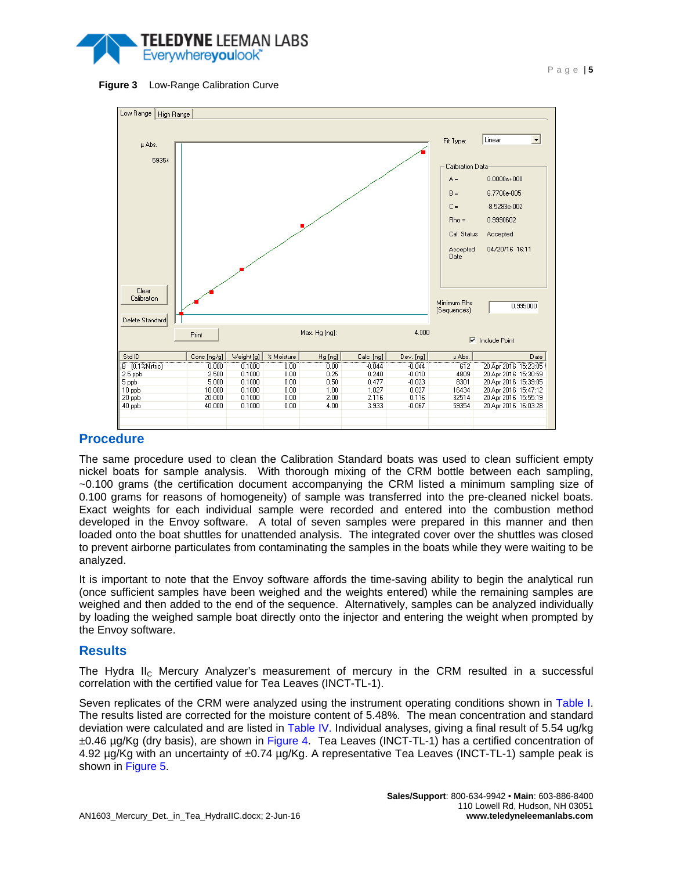



<span id="page-4-0"></span>

### **Procedure**

The same procedure used to clean the Calibration Standard boats was used to clean sufficient empty nickel boats for sample analysis. With thorough mixing of the CRM bottle between each sampling, ~0.100 grams (the certification document accompanying the CRM listed a minimum sampling size of 0.100 grams for reasons of homogeneity) of sample was transferred into the pre-cleaned nickel boats. Exact weights for each individual sample were recorded and entered into the combustion method developed in the Envoy software. A total of seven samples were prepared in this manner and then loaded onto the boat shuttles for unattended analysis. The integrated cover over the shuttles was closed to prevent airborne particulates from contaminating the samples in the boats while they were waiting to be analyzed.

It is important to note that the Envoy software affords the time-saving ability to begin the analytical run (once sufficient samples have been weighed and the weights entered) while the remaining samples are weighed and then added to the end of the sequence. Alternatively, samples can be analyzed individually by loading the weighed sample boat directly onto the injector and entering the weight when prompted by the Envoy software.

#### **Results**

The Hydra II<sub>C</sub> Mercury Analyzer's measurement of mercury in the CRM resulted in a successful correlation with the certified value for Tea Leaves (INCT-TL-1).

Seven replicates of the CRM were analyzed using the instrument operating conditions shown in [Table I.](#page-2-0) The results listed are corrected for the moisture content of 5.48%. The mean concentration and standard deviation were calculated and are listed in [Table IV.](#page-5-0) Individual analyses, giving a final result of 5.54 ug/kg ±0.46 µg/Kg (dry basis), are shown in [Figure 4.](#page-5-1) Tea Leaves (INCT-TL-1) has a certified concentration of 4.92 µg/Kg with an uncertainty of ±0.74 µg/Kg. A representative Tea Leaves (INCT-TL-1) sample peak is shown in [Figure 5.](#page-5-2)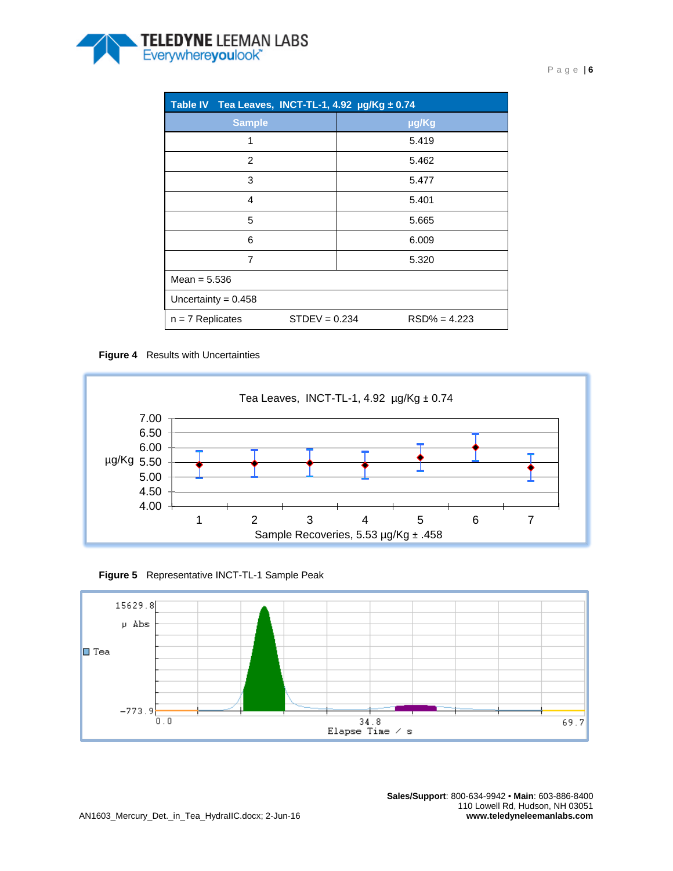

<span id="page-5-0"></span>

| Table IV Tea Leaves, INCT-TL-1, 4.92 µg/Kg ± 0.74 |                                   |  |  |  |
|---------------------------------------------------|-----------------------------------|--|--|--|
| <b>Sample</b>                                     | µg/Kg                             |  |  |  |
| 1                                                 | 5.419                             |  |  |  |
| 2                                                 | 5.462                             |  |  |  |
| 3                                                 | 5.477                             |  |  |  |
| $\overline{4}$                                    | 5.401                             |  |  |  |
| 5                                                 | 5.665                             |  |  |  |
| 6                                                 | 6.009                             |  |  |  |
| $\overline{7}$                                    | 5.320                             |  |  |  |
| Mean = $5.536$                                    |                                   |  |  |  |
| Uncertainty = $0.458$                             |                                   |  |  |  |
| $n = 7$ Replicates                                | $STDEV = 0.234$<br>$RSD% = 4.223$ |  |  |  |

#### <span id="page-5-1"></span>**Figure 4** Results with Uncertainties



<span id="page-5-2"></span>